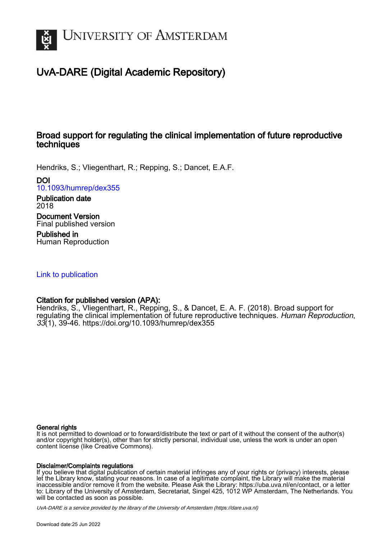

# UvA-DARE (Digital Academic Repository)

# Broad support for regulating the clinical implementation of future reproductive techniques

Hendriks, S.; Vliegenthart, R.; Repping, S.; Dancet, E.A.F.

DOI

[10.1093/humrep/dex355](https://doi.org/10.1093/humrep/dex355)

Publication date 2018

Document Version Final published version

Published in Human Reproduction

[Link to publication](https://dare.uva.nl/personal/pure/en/publications/broad-support-for-regulating-the-clinical-implementation-of-future-reproductive-techniques(cb419310-61c1-4306-b4d0-b9832ca5c2e6).html)

### Citation for published version (APA):

Hendriks, S., Vliegenthart, R., Repping, S., & Dancet, E. A. F. (2018). Broad support for regulating the clinical implementation of future reproductive techniques. Human Reproduction, 33(1), 39-46. <https://doi.org/10.1093/humrep/dex355>

#### General rights

It is not permitted to download or to forward/distribute the text or part of it without the consent of the author(s) and/or copyright holder(s), other than for strictly personal, individual use, unless the work is under an open content license (like Creative Commons).

#### Disclaimer/Complaints regulations

If you believe that digital publication of certain material infringes any of your rights or (privacy) interests, please let the Library know, stating your reasons. In case of a legitimate complaint, the Library will make the material inaccessible and/or remove it from the website. Please Ask the Library: https://uba.uva.nl/en/contact, or a letter to: Library of the University of Amsterdam, Secretariat, Singel 425, 1012 WP Amsterdam, The Netherlands. You will be contacted as soon as possible.

UvA-DARE is a service provided by the library of the University of Amsterdam (http*s*://dare.uva.nl)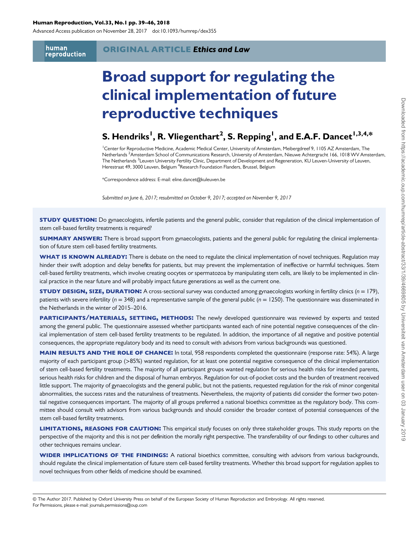#### Human Reproduction, Vol.33, No.1 pp. 39–46, 2018

Advanced Access publication on November 28, 2017 doi:10.1093/humrep/dex355

human reproduction

#### ORIGINAL ARTICLE Ethics and Law

# Broad support for regulating the clinical implementation of future reproductive techniques

# ${\sf S.}$  Hendriks $^{\sf I}$ ,  ${\sf R.}$  Vliegenthart $^{\sf 2}$ ,  ${\sf S.}$  Repping $^{\sf I}$ , and E.A.F. Dancet $^{\sf I,3,4,*}$

<sup>1</sup> Center for Reproductive Medicine, Academic Medical Center, University of Amsterdam, Meibergdreef 9, 1105 AZ Amsterdam, The Netherlands <sup>2</sup>Amsterdam School of Communications Research, University of Amsterdam, Nieuwe Achtergracht 166, 1018 WV Amsterdam, The Netherlands <sup>3</sup>Leuven University Fertility Clinic, Department of Development and Regeneration, KU Leuven-University of Leuven, Herestraat 49, 3000 Leuven, Belgium <sup>4</sup>Research Foundation Flanders, Brussel, Belgium

\*Correspondence address: E-mail: eline.dancet@kuleuven.be

Submitted on June 6, 2017; resubmitted on October 9, 2017; accepted on November 9, 2017

**STUDY QUESTION:** Do gynaecologists, infertile patients and the general public, consider that regulation of the clinical implementation of stem cell-based fertility treatments is required?

**SUMMARY ANSWER:** There is broad support from gynaecologists, patients and the general public for regulating the clinical implementation of future stem cell-based fertility treatments.

WHAT IS KNOWN ALREADY: There is debate on the need to regulate the clinical implementation of novel techniques. Regulation may hinder their swift adoption and delay benefits for patients, but may prevent the implementation of ineffective or harmful techniques. Stem cell-based fertility treatments, which involve creating oocytes or spermatozoa by manipulating stem cells, are likely to be implemented in clinical practice in the near future and will probably impact future generations as well as the current one.

**STUDY DESIGN, SIZE, DURATION:** A cross-sectional survey was conducted among gynaecologists working in fertility clinics ( $n = 179$ ), patients with severe infertility ( $n = 348$ ) and a representative sample of the general public ( $n = 1250$ ). The questionnaire was disseminated in the Netherlands in the winter of 2015–2016.

PARTICIPANTS/MATERIALS, SETTING, METHODS: The newly developed questionnaire was reviewed by experts and tested among the general public. The questionnaire assessed whether participants wanted each of nine potential negative consequences of the clinical implementation of stem cell-based fertility treatments to be regulated. In addition, the importance of all negative and positive potential consequences, the appropriate regulatory body and its need to consult with advisors from various backgrounds was questioned.

MAIN RESULTS AND THE ROLE OF CHANCE: In total, 958 respondents completed the questionnaire (response rate: 54%). A large majority of each participant group (>85%) wanted regulation, for at least one potential negative consequence of the clinical implementation of stem cell-based fertility treatments. The majority of all participant groups wanted regulation for serious health risks for intended parents, serious health risks for children and the disposal of human embryos. Regulation for out-of-pocket costs and the burden of treatment received little support. The majority of gynaecologists and the general public, but not the patients, requested regulation for the risk of minor congenital abnormalities, the success rates and the naturalness of treatments. Nevertheless, the majority of patients did consider the former two potential negative consequences important. The majority of all groups preferred a national bioethics committee as the regulatory body. This committee should consult with advisors from various backgrounds and should consider the broader context of potential consequences of the stem cell-based fertility treatments.

LIMITATIONS, REASONS FOR CAUTION: This empirical study focuses on only three stakeholder groups. This study reports on the perspective of the majority and this is not per definition the morally right perspective. The transferability of our findings to other cultures and other techniques remains unclear.

WIDER IMPLICATIONS OF THE FINDINGS: A national bioethics committee, consulting with advisors from various backgrounds, should regulate the clinical implementation of future stem cell-based fertility treatments. Whether this broad support for regulation applies to novel techniques from other fields of medicine should be examined.

<sup>©</sup> The Author 2017. Published by Oxford University Press on behalf of the European Society of Human Reproduction and Embryology. All rights reserved. For Permissions, please e-mail: journals.permissions@oup.com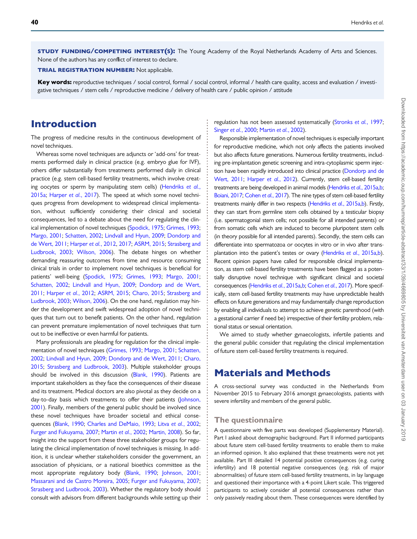**STUDY FUNDING/COMPETING INTEREST(S):** The Young Academy of the Royal Netherlands Academy of Arts and Sciences. None of the authors has any conflict of interest to declare.

**TRIAL REGISTRATION NUMBER:** Not applicable.

Key words: reproductive techniques / social control, formal / social control, informal / health care quality, access and evaluation / investigative techniques / stem cells / reproductive medicine / delivery of health care / public opinion / attitude

### Introduction

The progress of medicine results in the continuous development of novel techniques.

Whereas some novel techniques are adjuncts or 'add-ons' for treatments performed daily in clinical practice (e.g. embryo glue for IVF), others differ substantially from treatments performed daily in clinical practice (e.g. stem cell-based fertility treatments, which involve creating oocytes or sperm by manipulating stem cells) ([Hendriks](#page-8-0) et al., [2015a](#page-8-0); [Harper](#page-8-0) et al., 2017). The speed at which some novel techniques progress from development to widespread clinical implementation, without sufficiently considering their clinical and societal consequences, led to a debate about the need for regulating the clinical implementation of novel techniques [\(Spodick, 1975](#page-8-0); [Grimes, 1993;](#page-8-0) [Margo, 2001;](#page-8-0) [Schatten, 2002](#page-8-0); [Lindvall and Hyun, 2009](#page-8-0); [Dondorp and](#page-8-0) [de Wert, 2011;](#page-8-0) [Harper](#page-8-0) et al., 2012, [2017;](#page-8-0) [ASRM, 2015;](#page-7-0) [Strasberg and](#page-8-0) [Ludbrook, 2003;](#page-8-0) [Wilson, 2006\)](#page-8-0). The debate hinges on whether demanding reassuring outcomes from time and resource consuming clinical trials in order to implement novel techniques is beneficial for patients' well-being ([Spodick, 1975](#page-8-0); [Grimes, 1993](#page-8-0); [Margo, 2001;](#page-8-0) [Schatten, 2002](#page-8-0); [Lindvall and Hyun, 2009](#page-8-0); [Dondorp and de Wert,](#page-8-0) [2011](#page-8-0); [Harper](#page-8-0) et al., 2012; [ASRM, 2015](#page-7-0); [Charo, 2015](#page-7-0); [Strasberg and](#page-8-0) [Ludbrook, 2003;](#page-8-0) [Wilson, 2006\)](#page-8-0). On the one hand, regulation may hinder the development and swift widespread adoption of novel techniques that turn out to benefit patients. On the other hand, regulation can prevent premature implementation of novel techniques that turn out to be ineffective or even harmful for patients.

Many professionals are pleading for regulation for the clinical implementation of novel techniques ([Grimes, 1993](#page-8-0); [Margo, 2001](#page-8-0); [Schatten,](#page-8-0) [2002](#page-8-0); [Lindvall and Hyun, 2009;](#page-8-0) [Dondorp and de Wert, 2011](#page-8-0); [Charo,](#page-7-0) [2015](#page-7-0); [Strasberg and Ludbrook, 2003](#page-8-0)). Multiple stakeholder groups should be involved in this discussion [\(Blank, 1990\)](#page-7-0). Patients are important stakeholders as they face the consequences of their disease and its treatment. Medical doctors are also pivotal as they decide on a day-to-day basis which treatments to offer their patients [\(Johnson,](#page-8-0) [2001](#page-8-0)). Finally, members of the general public should be involved since these novel techniques have broader societal and ethical consequences ([Blank, 1990](#page-7-0); [Charles and DeMaio, 1993;](#page-7-0) Litva et al.[, 2002;](#page-8-0) [Furger and Fukuyama, 2007](#page-8-0); [Martin](#page-8-0) et al., 2002; [Martin, 2008](#page-8-0)). So far, insight into the support from these three stakeholder groups for regulating the clinical implementation of novel techniques is missing. In addition, it is unclear whether stakeholders consider the government, an association of physicians, or a national bioethics committee as the most appropriate regulatory body [\(Blank, 1990](#page-7-0); [Johnson, 2001;](#page-8-0) [Massarani and de Castro Moreira, 2005](#page-8-0); [Furger and Fukuyama, 2007;](#page-8-0) [Strasberg and Ludbrook, 2003\)](#page-8-0). Whether the regulatory body should consult with advisors from different backgrounds while setting up their

regulation has not been assessed systematically [\(Stronks](#page-8-0) et al., 1997; Singer et al.[, 2000;](#page-8-0) [Martin](#page-8-0) et al., 2002).

Responsible implementation of novel techniques is especially important for reproductive medicine, which not only affects the patients involved but also affects future generations. Numerous fertility treatments, including pre-implantation genetic screening and intra-cytoplasmic sperm injection have been rapidly introduced into clinical practice ([Dondorp and de](#page-8-0) [Wert, 2011](#page-8-0); [Harper](#page-8-0) et al., 2012). Currently, stem cell-based fertility treatments are being developed in animal models [\(Hendriks](#page-8-0) et al., 2015a,[b;](#page-8-0) [Boiani, 2017;](#page-7-0) [Cohen](#page-7-0) et al., 2017). The nine types of stem cell-based fertility treatments mainly differ in two respects [\(Hendriks](#page-8-0) et al., 2015a[,b\)](#page-8-0). Firstly, they can start from germline stem cells obtained by a testicular biopsy (i.e. spermatogonial stem cells; not possible for all intended parents) or from somatic cells which are induced to become pluripotent stem cells (in theory possible for all intended parents). Secondly, the stem cells can differentiate into spermatozoa or oocytes in vitro or in vivo after trans-plantation into the patient's testes or ovary ([Hendriks](#page-8-0) et al., 2015a,[b](#page-8-0)). Recent opinion papers have called for responsible clinical implementation, as stem cell-based fertility treatments have been flagged as a potentially disruptive novel technique with significant clinical and societal consequences ([Hendriks](#page-8-0) et al., 2015a,[b;](#page-8-0) [Cohen](#page-7-0) et al., 2017). More specifically, stem cell-based fertility treatments may have unpredictable health effects on future generations and may fundamentally change reproduction by enabling all individuals to attempt to achieve genetic parenthood (with a gestational carrier if need be) irrespective of their fertility problem, relational status or sexual orientation.

We aimed to study whether gynaecologists, infertile patients and the general public consider that regulating the clinical implementation of future stem cell-based fertility treatments is required.

### Materials and Methods

A cross-sectional survey was conducted in the Netherlands from November 2015 to February 2016 amongst gynaecologists, patients with severe infertility and members of the general public.

#### The questionnaire

A questionnaire with five parts was developed (Supplementary Material). Part I asked about demographic background. Part II informed participants about future stem cell-based fertility treatments to enable them to make an informed opinion. It also explained that these treatments were not yet available. Part III detailed 14 potential positive consequences (e.g. curing infertility) and 18 potential negative consequences (e.g. risk of major abnormalities) of future stem cell-based fertility treatments, in lay language and questioned their importance with a 4-point Likert scale. This triggered participants to actively consider all potential consequences rather than only passively reading about them. These consequences were identified by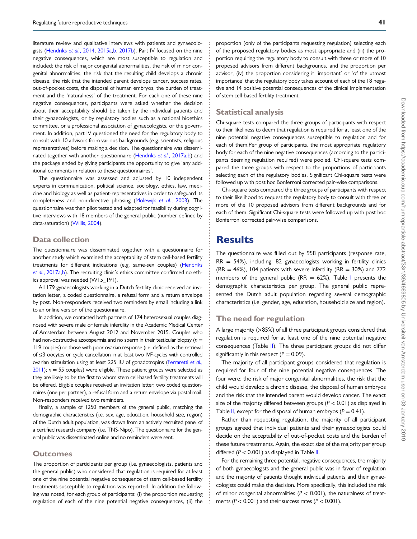literature review and qualitative interviews with patients and gynaecologists ([Hendriks](#page-8-0) et al., 2014, [2015a,b,](#page-8-0) [2017b\)](#page-8-0). Part IV focused on the nine negative consequences, which are most susceptible to regulation and included: the risk of major congenital abnormalities, the risk of minor congenital abnormalities, the risk that the resulting child develops a chronic disease, the risk that the intended parent develops cancer, success rates, out-of-pocket costs, the disposal of human embryos, the burden of treatment and the 'naturalness' of the treatment. For each one of these nine negative consequences, participants were asked whether the decision about their acceptability should be taken by the individual patients and their gynaecologists, or by regulatory bodies such as a national bioethics committee, or a professional association of gynaecologists, or the government. In addition, part IV questioned the need for the regulatory body to consult with 10 advisors from various backgrounds (e.g. scientists, religious representatives) before making a decision. The questionnaire was dissemi-nated together with another questionnaire ([Hendriks](#page-8-0) et al., 2017a,[b\)](#page-8-0) and the package ended by giving participants the opportunity to give 'any additional comments in relation to these questionnaires'.

The questionnaire was assessed and adjusted by 10 independent experts in communication, political science, sociology, ethics, law, medicine and biology as well as patient-representatives in order to safeguard its completeness and non-directive phrasing [\(Molewijk](#page-8-0) et al., 2003). The questionnaire was then pilot tested and adapted for feasibility during cognitive interviews with 18 members of the general public (number defined by data-saturation) [\(Willis, 2004](#page-8-0)).

#### Data collection

The questionnaire was disseminated together with a questionnaire for another study which examined the acceptability of stem cell-based fertility treatments for different indications (e.g. same-sex couples) [\(Hendriks](#page-8-0) et al.[, 2017a,b\)](#page-8-0). The recruiting clinic's ethics committee confirmed no ethics approval was needed (W15\_191).

All 179 gynaecologists working in a Dutch fertility clinic received an invitation letter, a coded questionnaire, a refusal form and a return envelope by post. Non-responders received two reminders by email including a link to an online version of the questionnaire.

In addition, we contacted both partners of 174 heterosexual couples diagnosed with severe male or female infertility in the Academic Medical Center of Amsterdam between August 2012 and November 2015. Couples who had non-obstructive azoospermia and no sperm in their testicular biopsy ( $n =$ 119 couples) or those with poor ovarian response (i.e. defined as the retrieval of ≤3 oocytes or cycle cancellation in at least two IVF-cycles with controlled ovarian stimulation using at least 225 IU of gonadotropins [\(Ferraretti](#page-8-0) et al.,  $2011$ );  $n = 55$  couples) were eligible. These patient groups were selected as they are likely to be the first to whom stem cell-based fertility treatments will be offered. Eligible couples received an invitation letter, two coded questionnaires (one per partner), a refusal form and a return envelope via postal mail. Non-responders received two reminders.

Finally, a sample of 1250 members of the general public, matching the demographic characteristics (i.e. sex, age, education, household size, region) of the Dutch adult population, was drawn from an actively recruited panel of a certified research company (i.e. TNS-Nipo). The questionnaire for the general public was disseminated online and no reminders were sent.

#### **Outcomes**

The proportion of participants per group (i.e. gynaecologists, patients and the general public) who considered that regulation is required for at least one of the nine potential negative consequence of stem cell-based fertility treatments susceptible to regulation was reported. In addition the following was noted, for each group of participants: (i) the proportion requesting regulation of each of the nine potential negative consequences, (ii) the

proportion (only of the participants requesting regulation) selecting each of the proposed regulatory bodies as most appropriate and (iii) the proportion requiring the regulatory body to consult with three or more of 10 proposed advisors from different backgrounds, and the proportion per advisor, (iv) the proportion considering it 'important' or 'of the utmost importance' that the regulatory body takes account of each of the 18 negative and 14 positive potential consequences of the clinical implementation of stem cell-based fertility treatment.

#### Statistical analysis

Chi-square tests compared the three groups of participants with respect to their likeliness to deem that regulation is required for at least one of the nine potential negative consequences susceptible to regulation and for each of them.Per group of participants, the most appropriate regulatory body for each of the nine negative consequences (according to the participants deeming regulation required) were pooled. Chi-square tests compared the three groups with respect to the proportions of participants selecting each of the regulatory bodies. Significant Chi-square tests were followed up with post hoc Bonferroni corrected pair-wise comparisons.

Chi-square tests compared the three groups of participants with respect to their likelihood to request the regulatory body to consult with three or more of the 10 proposed advisors from different backgrounds and for each of them. Significant Chi-square tests were followed up with post hoc Bonferroni corrected pair-wise comparisons.

### **Results**

The questionnaire was filled out by 958 participants (response rate,  $RR = 54\%)$ , including: 82 gynaecologists working in fertility clinics  $(RR = 46%)$ , 104 patients with severe infertility  $(RR = 30%)$  and 772 members of the general public ( $RR = 62\%)$ . Table [I](#page-4-0) presents the demographic characteristics per group. The general public represented the Dutch adult population regarding several demographic characteristics (i.e. gender, age, education, household size and region).

#### The need for regulation

A large majority (>85%) of all three participant groups considered that regulation is required for at least one of the nine potential negative consequences (Table [II\)](#page-5-0). The three participant groups did not differ significantly in this respect  $(P = 0.09)$ .

The majority of all participant groups considered that regulation is required for four of the nine potential negative consequences. The four were; the risk of major congenital abnormalities, the risk that the child would develop a chronic disease, the disposal of human embryos and the risk that the intended parent would develop cancer. The exact size of the majority differed between groups  $(P < 0.01)$  as displayed in Table [II,](#page-5-0) except for the disposal of human embryos ( $P = 0.41$ ).

Rather than requesting regulation, the majority of all participant groups agreed that individual patients and their gynaecologists could decide on the acceptability of out-of-pocket costs and the burden of these future treatments. Again, the exact size of the majority per group differed  $(P < 0.001)$  as displayed in Table [II.](#page-5-0)

For the remaining three potential, negative consequences, the majority of both gynaecologists and the general public was in favor of regulation and the majority of patients thought individual patients and their gynaecologists could make the decision. More specifically, this included the risk of minor congenital abnormalities ( $P < 0.001$ ), the naturalness of treatments ( $P < 0.001$ ) and their success rates ( $P < 0.001$ ).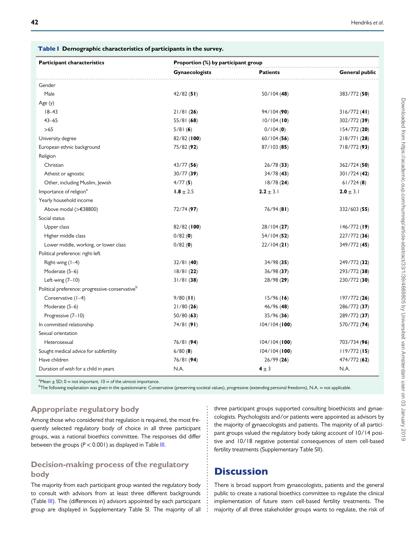#### <span id="page-4-0"></span>Table I Demographic characteristics of participants in the survey.

| <b>Participant characteristics</b>                          | Proportion (%) by participant group |                 |                       |  |
|-------------------------------------------------------------|-------------------------------------|-----------------|-----------------------|--|
|                                                             | <b>Gynaecologists</b>               | <b>Patients</b> | <b>General public</b> |  |
| Gender                                                      |                                     |                 |                       |  |
| Male                                                        | 42/82(51)                           | 50/104(48)      | 383/772 (50)          |  |
| Age (y)                                                     |                                     |                 |                       |  |
| $18 - 43$                                                   | 21/81(26)                           | 94/104(90)      | 316/772(41)           |  |
| $43 - 65$                                                   | 55/81(68)                           | $10/104$ (10)   | 302/772 (39)          |  |
| $>65$                                                       | 5/81(6)                             | 0/104(0)        | 154/772(20)           |  |
| University degree                                           | 82/82(100)                          | 60/104(56)      | 218/771(28)           |  |
| European ethnic background                                  | 75/82 (92)                          | 87/103(85)      | 718/772 (93)          |  |
| Religion                                                    |                                     |                 |                       |  |
| Christian                                                   | 43/77(56)                           | 26/78(33)       | 362/724(50)           |  |
| Atheist or agnostic                                         | 30/77(39)                           | 34/78(43)       | 301/724 (42)          |  |
| Other, including Muslim, Jewish                             | 4/77(5)                             | 18/78(24)       | $61/724$ (8)          |  |
| Importance of religion <sup>a</sup>                         | $1.8 \pm 2.5$                       | $2.2 \pm 3.1$   | <b>2.0</b> $\pm$ 3.1  |  |
| Yearly household income                                     |                                     |                 |                       |  |
| Above modal (>€38800)                                       | 72/74(97)                           | 76/94(81)       | 332/603 (55)          |  |
| Social status                                               |                                     |                 |                       |  |
| Upper class                                                 | 82/82(100)                          | 28/104(27)      | 146/772(19)           |  |
| Higher middle class                                         | 0/82(0)                             | 54/104(52)      | 227/772(36)           |  |
| Lower middle, working, or lower class                       | 0/82(0)                             | 22/104(21)      | 349/772 (45)          |  |
| Political preference: right-left                            |                                     |                 |                       |  |
| Right-wing (1-4)                                            | 32/81(40)                           | 34/98(35)       | 249/772 (32)          |  |
| Moderate (5-6)                                              | 18/81(22)                           | 36/98(37)       | 293/772 (38)          |  |
| Left-wing $(7-10)$                                          | 31/81(38)                           | 28/98(29)       | 230/772 (30)          |  |
| Political preference: progressive-conservative <sup>b</sup> |                                     |                 |                       |  |
| Conservative $(1-4)$                                        | $9/80$ (11)                         | $15/96$ (16)    | 197/772(26)           |  |
| Moderate (5-6)                                              | 21/80(26)                           | 46/96(48)       | 286/772 (37)          |  |
| Progressive (7-10)                                          | 50/80(63)                           | 35/96(36)       | 289/772 (37)          |  |
| In committed relationship                                   | 74/81(91)                           | 104/104(100)    | 570/772 (74)          |  |
| Sexual orientation                                          |                                     |                 |                       |  |
| Heterosexual                                                | 76/81 (94)                          | 104/104(100)    | 703/734 (96)          |  |
| Sought medical advice for subfertility                      | 6/80(8)                             | 104/104(100)    | 119/772(15)           |  |
| Have children                                               | 76/81 (94)                          | 26/99(26)       | 474/772(62)           |  |
| Duration of wish for a child in years                       | N.A.                                | $4 \pm 3$       | N.A.                  |  |

<sup>a</sup>Mean  $\pm$  SD; 0 = not important, 10 = of the utmost importance.

b The following explanation was given in the questionnaire: Conservative (preserving societal values), progressive (extending personal freedoms), N.A. = not applicable.

#### Appropriate regulatory body

Among those who considered that regulation is required, the most frequently selected regulatory body of choice in all three participant groups, was a national bioethics committee. The responses did differ between the groups  $(P < 0.001)$  as displayed in Table [III.](#page-5-0)

### Decision-making process of the regulatory body

The majority from each participant group wanted the regulatory body to consult with advisors from at least three different backgrounds (Table [III](#page-5-0)). The (differences in) advisors appointed by each participant group are displayed in Supplementary Table SI. The majority of all three participant groups supported consulting bioethicists and gynaecologists. Psychologists and/or patients were appointed as advisors by the majority of gynaecologists and patients. The majority of all participant groups valued the regulatory body taking account of 10/14 positive and 10/18 negative potential consequences of stem cell-based fertility treatments (Supplementary Table SII).

### **Discussion**

There is broad support from gynaecologists, patients and the general public to create a national bioethics committee to regulate the clinical implementation of future stem cell-based fertility treatments. The majority of all three stakeholder groups wants to regulate, the risk of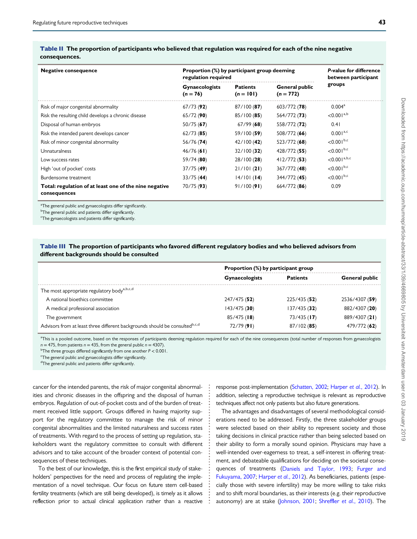<span id="page-5-0"></span>Table II The proportion of participants who believed that regulation was required for each of the nine negative consequences.

| <b>Negative consequence</b>                                            | Proportion (%) by participant group deeming<br>regulation required |                                |                               | <b>P-value for difference</b><br>between participant |
|------------------------------------------------------------------------|--------------------------------------------------------------------|--------------------------------|-------------------------------|------------------------------------------------------|
|                                                                        | <b>Gynaecologists</b><br>$(n = 76)$                                | <b>Patients</b><br>$(n = 101)$ | General public<br>$(n = 772)$ | groups                                               |
| Risk of major congenital abnormality                                   | 67/73(92)                                                          | 87/100(87)                     | 603/772(78)                   | 0.004 <sup>a</sup>                                   |
| Risk the resulting child develops a chronic disease                    | 65/72(90)                                                          | 85/100(85)                     | 564/772 (73)                  | $< 0.001^{a,b}$                                      |
| Disposal of human embryos                                              | 50/75(67)                                                          | 67/99(68)                      | 558/772 (72)                  | 0.41                                                 |
| Risk the intended parent develops cancer                               | 62/73(85)                                                          | 59/100 (59)                    | 508/772 (66)                  | $0.001^{a,c}$                                        |
| Risk of minor congenital abnormality                                   | 56/76(74)                                                          | 42/100(42)                     | 523/772 (68)                  | $<$ 0.00 l <sup>b,c</sup>                            |
| <b>Unnaturalness</b>                                                   | 46/76(61)                                                          | 32/100(32)                     | 428/772(55)                   | $< 0.001^{b,c}$                                      |
| Low success rates                                                      | 59/74(80)                                                          | 28/100(28)                     | 412/772(53)                   | $<$ 0.00   $a,b,c$                                   |
| High 'out of pocket' costs                                             | 37/75(49)                                                          | 21/101(21)                     | 367/772 (48)                  | $<$ 0.00 $\vert$ <sup>b,c</sup>                      |
| Burdensome treatment                                                   | 33/75(44)                                                          | $14/101$ (14)                  | 344/772 (45)                  | $< 0.001^{b,c}$                                      |
| Total: regulation of at least one of the nine negative<br>consequences | 70/75 (93)                                                         | 91/100 (91)                    | 664/772(86)                   | 0.09                                                 |

<sup>a</sup>The general public and gynaecologists differ significantly.

<sup>b</sup>The general public and patients differ significantly.

<sup>c</sup>The gynaecologists and patients differ significantly.

Table III The proportion of participants who favored different regulatory bodies and who believed advisors from different backgrounds should be consulted

|                                                                                         | Proportion (%) by participant group |                 |                       |  |
|-----------------------------------------------------------------------------------------|-------------------------------------|-----------------|-----------------------|--|
|                                                                                         | <b>Gynaecologists</b>               | <b>Patients</b> | <b>General public</b> |  |
| The most appropriate regulatory body <sup>a,b,c,d</sup>                                 |                                     |                 |                       |  |
| A national bioethics committee                                                          | 247/475(52)                         | 225/435(52)     | 2536/4307 (59)        |  |
| A medical professional association                                                      | 143/475(30)                         | 137/435(32)     | 882/4307 (20)         |  |
| The government                                                                          | $85/475$ (18)                       | $73/435$ (17)   | 889/4307 (21)         |  |
| Advisors from at least three different backgrounds should be consulted <sup>b,c,d</sup> | 72/79(91)                           | 87/102(85)      | 479/772 (62)          |  |

<sup>a</sup>This is a pooled outcome, based on the responses of participants deeming regulation required for each of the nine consequences (total number of responses from gynaecologists  $n = 475$ , from patients  $n = 435$ , from the general public  $n = 4307$ ).

<sup>b</sup>The three groups differed significantly from one another  $P < 0.001$ .

<sup>c</sup>The general public and gynaecologists differ significantly.

<sup>d</sup>The general public and patients differ significantly.

cancer for the intended parents, the risk of major congenital abnormalities and chronic diseases in the offspring and the disposal of human embryos. Regulation of out-of-pocket costs and of the burden of treatment received little support. Groups differed in having majority support for the regulatory committee to manage the risk of minor congenital abnormalities and the limited naturalness and success rates of treatments. With regard to the process of setting up regulation, stakeholders want the regulatory committee to consult with different advisors and to take account of the broader context of potential consequences of these techniques.

To the best of our knowledge, this is the first empirical study of stakeholders' perspectives for the need and process of regulating the implementation of a novel technique. Our focus on future stem cell-based fertility treatments (which are still being developed), is timely as it allows reflection prior to actual clinical application rather than a reactive response post-implementation ([Schatten, 2002;](#page-8-0) [Harper](#page-8-0) et al., 2012). In addition, selecting a reproductive technique is relevant as reproductive techniques affect not only patients but also future generations.

The advantages and disadvantages of several methodological considerations need to be addressed. Firstly, the three stakeholder groups were selected based on their ability to represent society and those taking decisions in clinical practice rather than being selected based on their ability to form a morally sound opinion. Physicians may have a well-intended over-eagerness to treat, a self-interest in offering treatment, and debateable qualifications for deciding on the societal consequences of treatments ([Daniels and Taylor, 1993](#page-7-0); [Furger and](#page-8-0) [Fukuyama, 2007](#page-8-0); [Harper](#page-8-0) et al., 2012). As beneficiaries, patients (especially those with severe infertility) may be more willing to take risks and to shift moral boundaries, as their interests (e.g. their reproductive autonomy) are at stake ([Johnson, 2001;](#page-8-0) Shreffler et al.[, 2010](#page-8-0)). The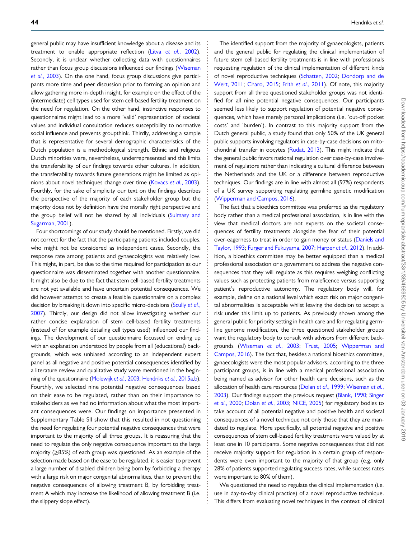general public may have insufficient knowledge about a disease and its treatment to enable appropriate reflection (Litva et al.[, 2002\)](#page-8-0). Secondly, it is unclear whether collecting data with questionnaires rather than focus group discussions influenced our findings ([Wiseman](#page-8-0) et al.[, 2003\)](#page-8-0). On the one hand, focus group discussions give participants more time and peer discussion prior to forming an opinion and allow gathering more in-depth insight, for example on the effect of the (intermediate) cell types used for stem cell-based fertility treatment on the need for regulation. On the other hand, instinctive responses to questionnaires might lead to a more 'valid' representation of societal values and individual consultation reduces susceptibility to normative social influence and prevents groupthink. Thirdly, addressing a sample that is representative for several demographic characteristics of the Dutch population is a methodological strength. Ethnic and religious Dutch minorities were, nevertheless, underrepresented and this limits the transferability of our findings towards other cultures. In addition, the transferability towards future generations might be limited as opinions about novel techniques change over time [\(Kovacs](#page-8-0) et al., 2003). Fourthly, for the sake of simplicity our text on the findings describes the perspective of the majority of each stakeholder group but the majority does not by definition have the morally right perspective and the group belief will not be shared by all individuals [\(Sulmasy and](#page-8-0) [Sugarman, 2001](#page-8-0)).

Four shortcomings of our study should be mentioned. Firstly, we did not correct for the fact that the participating patients included couples, who might not be considered as independent cases. Secondly, the response rate among patients and gynaecologists was relatively low. This might, in part, be due to the time required for participation as our questionnaire was disseminated together with another questionnaire. It might also be due to the fact that stem cell-based fertility treatments are not yet available and have uncertain potential consequences. We did however attempt to create a feasible questionnaire on a complex decision by breaking it down into specific micro-decisions ([Scully](#page-8-0) et al., [2007](#page-8-0)). Thirdly, our design did not allow investigating whether our rather concise explanation of stem cell-based fertility treatments (instead of for example detailing cell types used) influenced our findings. The development of our questionnaire focussed on ending up with an explanation understood by people from all (educational) backgrounds, which was unbiased according to an independent expert panel as all negative and positive potential consequences identified by a literature review and qualitative study were mentioned in the beginning of the questionnaire [\(Molewijk](#page-8-0) et al., 2003; [Hendriks](#page-8-0) et al., 2015a[,b\)](#page-8-0). Fourthly, we selected nine potential negative consequences based on their ease to be regulated, rather than on their importance to stakeholders as we had no information about what the most important consequences were. Our findings on importance presented in Supplementary Table SII show that this resulted in not questioning the need for regulating four potential negative consequences that were important to the majority of all three groups. It is reassuring that the need to regulate the only negative consequence important to the large majority (≥85%) of each group was questioned. As an example of the selection made based on the ease to be regulated, it is easier to prevent a large number of disabled children being born by forbidding a therapy with a large risk on major congenital abnormalities, than to prevent the negative consequences of allowing treatment B, by forbidding treatment A which may increase the likelihood of allowing treatment B (i.e. the slippery slope effect).

The identified support from the majority of gynaecologists, patients and the general public for regulating the clinical implementation of future stem cell-based fertility treatments is in line with professionals requesting regulation of the clinical implementation of different kinds of novel reproductive techniques ([Schatten, 2002](#page-8-0); [Dondorp and de](#page-8-0) [Wert, 2011;](#page-8-0) [Charo, 2015](#page-7-0); Frith et al.[, 2011\)](#page-8-0). Of note, this majority support from all three questioned stakeholder groups was not identified for all nine potential negative consequences. Our participants seemed less likely to support regulation of potential negative consequences, which have merely personal implications (i.e. 'out-off pocket costs' and 'burden'). In contrast to this majority support from the Dutch general public, a study found that only 50% of the UK general public supports involving regulators in case-by-case decisions on mitochondrial transfer in oocytes [\(Rudat, 2013\)](#page-8-0). This might indicate that the general public favors national regulation over case-by-case involvement of regulators rather than indicating a cultural difference between the Netherlands and the UK or a difference between reproductive techniques. Our findings are in line with almost all (97%) respondents of a UK survey supporting regulating germline genetic modification ([Wipperman and Campos, 2016\)](#page-8-0).

The fact that a bioethics committee was preferred as the regulatory body rather than a medical professional association, is in line with the view that medical doctors are not experts on the societal consequences of fertility treatments alongside the fear of their potential over-eagerness to treat in order to gain money or status [\(Daniels and](#page-7-0) [Taylor, 1993;](#page-7-0) [Furger and Fukuyama, 2007;](#page-8-0) [Harper](#page-8-0) et al., 2012). In addition, a bioethics committee may be better equipped than a medical professional association or a government to address the negative consequences that they will regulate as this requires weighing conflicting values such as protecting patients from maleficence versus supporting patient's reproductive autonomy. The regulatory body will, for example, define on a national level which exact risk on major congenital abnormalities is acceptable whilst leaving the decision to accept a risk under this limit up to patients. As previously shown among the general public for priority setting in health care and for regulating germline genome modification, the three questioned stakeholder groups want the regulatory body to consult with advisors from different backgrounds [\(Wiseman](#page-8-0) et al., 2003; [Trust, 2005;](#page-8-0) [Wipperman and](#page-8-0) [Campos, 2016\)](#page-8-0). The fact that, besides a national bioethics committee, gynaecologists were the most popular advisors, according to the three participant groups, is in line with a medical professional association being named as advisor for other health care decisions, such as the allocation of health care resources [\(Dolan](#page-8-0) et al., 1999; [Wiseman](#page-8-0) et al., [2003\)](#page-8-0). Our findings support the previous request [\(Blank, 1990;](#page-7-0) [Singer](#page-8-0) et al.[, 2000;](#page-8-0) Dolan et al.[, 2003;](#page-8-0) [NICE, 2005](#page-8-0)) for regulatory bodies to take account of all potential negative and positive health and societal consequences of a novel technique not only those that they are mandated to regulate. More specifically, all potential negative and positive consequences of stem cell-based fertility treatments were valued by at least one in 10 participants. Some negative consequences that did not receive majority support for regulation in a certain group of respondents were even important to the majority of that group (e.g. only 28% of patients supported regulating success rates, while success rates were important to 80% of them).

We questioned the need to regulate the clinical implementation (i.e. use in day-to-day clinical practice) of a novel reproductive technique. This differs from evaluating novel techniques in the context of clinical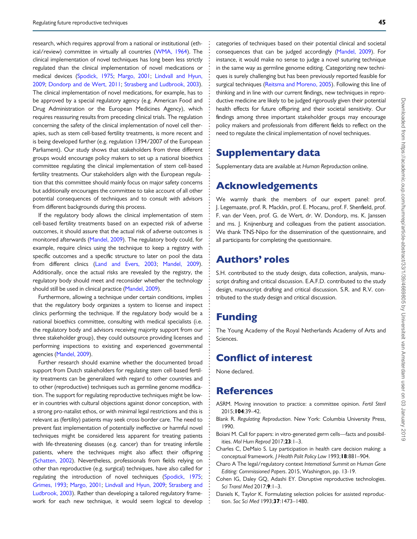<span id="page-7-0"></span>research, which requires approval from a national or institutional (ethical/review) committee in virtually all countries ([WMA, 1964\)](#page-8-0). The clinical implementation of novel techniques has long been less strictly regulated than the clinical implementation of novel medications or medical devices ([Spodick, 1975](#page-8-0); [Margo, 2001;](#page-8-0) [Lindvall and Hyun,](#page-8-0) [2009](#page-8-0); [Dondorp and de Wert, 2011;](#page-8-0) [Strasberg and Ludbrook, 2003\)](#page-8-0). The clinical implementation of novel medications, for example, has to be approved by a special regulatory agency (e.g. American Food and Drug Administration or the European Medicines Agency), which requires reassuring results from preceding clinical trials. The regulation concerning the safety of the clinical implementation of novel cell therapies, such as stem cell-based fertility treatments, is more recent and is being developed further (e.g. regulation 1394/2007 of the European Parliament). Our study shows that stakeholders from three different groups would encourage policy makers to set up a national bioethics committee regulating the clinical implementation of stem cell-based fertility treatments. Our stakeholders align with the European regulation that this committee should mainly focus on major safety concerns but additionally encourages the committee to take account of all other potential consequences of techniques and to consult with advisors from different backgrounds during this process.

If the regulatory body allows the clinical implementation of stem cell-based fertility treatments based on an expected risk of adverse outcomes, it should assure that the actual risk of adverse outcomes is monitored afterwards ([Mandel, 2009](#page-8-0)). The regulatory body could, for example, require clinics using the technique to keep a registry with specific outcomes and a specific structure to later on pool the data from different clinics ([Land and Evers, 2003](#page-8-0); [Mandel, 2009\)](#page-8-0). Additionally, once the actual risks are revealed by the registry, the regulatory body should meet and reconsider whether the technology should still be used in clinical practice ([Mandel, 2009\)](#page-8-0).

Furthermore, allowing a technique under certain conditions, implies that the regulatory body organizes a system to license and inspect clinics performing the technique. If the regulatory body would be a national bioethics committee, consulting with medical specialists (i.e. the regulatory body and advisors receiving majority support from our three stakeholder group), they could outsource providing licenses and performing inspections to existing and experienced governmental agencies ([Mandel, 2009](#page-8-0)).

Further research should examine whether the documented broad support from Dutch stakeholders for regulating stem cell-based fertility treatments can be generalized with regard to other countries and to other (reproductive) techniques such as germline genome modification. The support for regulating reproductive techniques might be lower in countries with cultural objections against donor conception, with a strong pro-natalist ethos, or with minimal legal restrictions and this is relevant as (fertility) patients may seek cross-border care. The need to prevent fast implementation of potentially ineffective or harmful novel techniques might be considered less apparent for treating patients with life-threatening diseases (e.g. cancer) than for treating infertile patients, where the techniques might also affect their offspring [\(Schatten, 2002\)](#page-8-0). Nevertheless, professionals from fields relying on other than reproductive (e.g. surgical) techniques, have also called for regulating the introduction of novel techniques [\(Spodick, 1975](#page-8-0); [Grimes, 1993;](#page-8-0) [Margo, 2001](#page-8-0); [Lindvall and Hyun, 2009;](#page-8-0) [Strasberg and](#page-8-0) [Ludbrook, 2003\)](#page-8-0). Rather than developing a tailored regulatory framework for each new technique, it would seem logical to develop

categories of techniques based on their potential clinical and societal consequences that can be judged accordingly ([Mandel, 2009](#page-8-0)). For instance, it would make no sense to judge a novel suturing technique in the same way as germline genome editing. Categorizing new techniques is surely challenging but has been previously reported feasible for surgical techniques [\(Reitsma and Moreno, 2005\)](#page-8-0). Following this line of thinking and in line with our current findings, new techniques in reproductive medicine are likely to be judged rigorously given their potential health effects for future offspring and their societal sensitivity. Our findings among three important stakeholder groups may encourage policy makers and professionals from different fields to reflect on the need to regulate the clinical implementation of novel techniques.

### Supplementary data

Supplementary data are available at Human Reproduction online.

# Acknowledgements

We warmly thank the members of our expert panel: prof. J. Legemaate, prof. R. Macklin, prof. E. Mocanu, prof. F. Shenfield, prof. F. van der Veen, prof. G. de Wert, dr. W. Dondorp, ms. K. Janssen and ms. J. Knijnenburg and colleagues from the patient association. We thank TNS-Nipo for the dissemination of the questionnaire, and all participants for completing the questionnaire.

### Authors' roles

S.H. contributed to the study design, data collection, analysis, manuscript drafting and critical discussion. E.A.F.D. contributed to the study design, manuscript drafting and critical discussion. S.R. and R.V. contributed to the study design and critical discussion.

# Funding

The Young Academy of the Royal Netherlands Academy of Arts and Sciences.

# Conflict of interest

None declared.

# References

- ASRM. Moving innovation to practice: a committee opinion. Fertil Steril 2015;104:39–42.
- Blank R. Regulating Reproduction. New York: Columbia University Press, 1990.
- Boiani M. Call for papers: in vitro-generated germ cells—facts and possibilities. Mol Hum Reprod 2017;23:1–3.
- Charles C, DeMaio S. Lay participation in health care decision making: a conceptual framework. J Health Polit Policy Law 1993;18:881-904.
- Charo A The legal/regulatory context International Summit on Human Gene Editing: Commissioned Papers. 2015, Washington, pp. 13-19.
- Cohen IG, Daley GQ, Adashi EY. Disruptive reproductive technologies. Sci Transl Med 2017;9:1-3.
- Daniels K, Taylor K. Formulating selection policies for assisted reproduction. Soc Sci Med 1993;37:1473–1480.